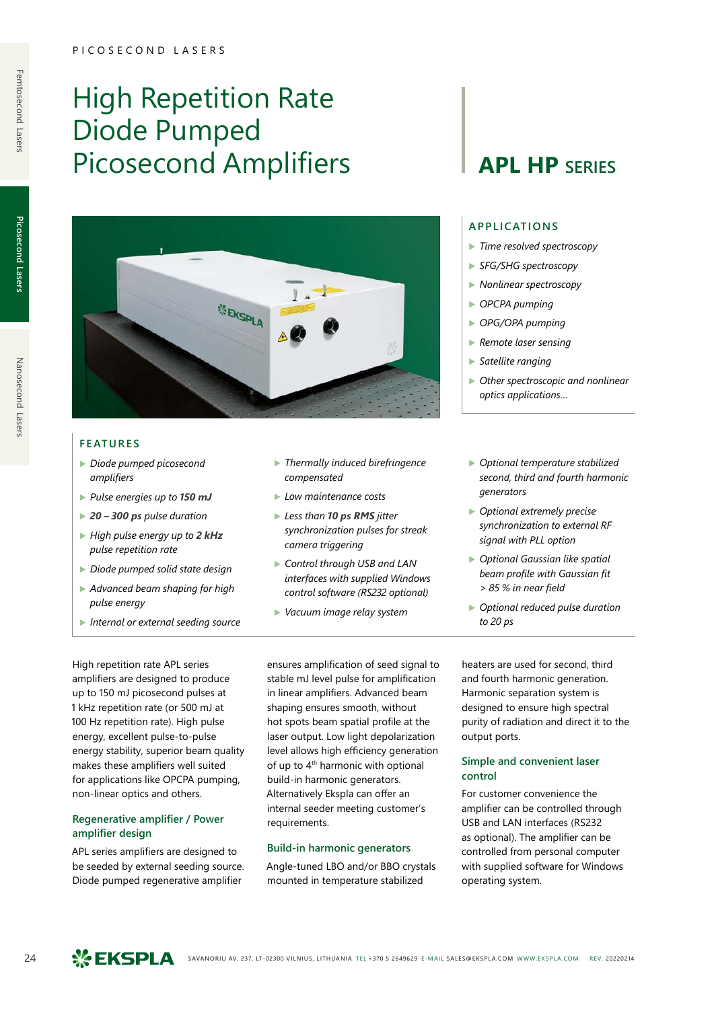# High Repetition Rate Diode Pumped Picosecond Amplifiers | **APL HP** SERIES



#### **FEATURES**

- ▶ *Diode pumped picosecond amplifiers*
- ▶ *Pulse energies up to 150 mJ*
- ▶ *20 300 ps pulse duration*
- ▶ *High pulse energy up to 2 kHz pulse repetition rate*
- ▶ *Diode pumped solid state design*
- ▶ *Advanced beam shaping for high pulse energy*
- ▶ *Internal or external seeding source*
- ▶ *Thermally induced birefringence compensated*
- ▶ *Low maintenance costs*
- ▶ *Less than 10 ps RMS jitter synchronization pulses for streak camera triggering*
- ▶ *Control through USB and LAN interfaces with supplied Windows control software (RS232 optional)*
- ▶ *Vacuum image relay system*

#### **APPLICATIONS**

- ▶ *Time resolved spectroscopy*
- ▶ *SFG/SHG spectroscopy*
- ▶ *Nonlinear spectroscopy*
- ▶ *OPCPA pumping*
- ▶ *OPG/OPA pumping*
- ▶ *Remote laser sensing*
- ▶ *Satellite ranging*
- ▶ *Other spectroscopic and nonlinear optics applications…*
- ▶ *Optional temperature stabilized second, third and fourth harmonic generators*
- ▶ *Optional extremely precise synchronization to external RF signal with PLL option*
- ▶ *Optional Gaussian like spatial beam profile with Gaussian fit > 85 % in near field*
- ▶ *Optional reduced pulse duration to 20 ps*

High repetition rate APL series amplifiers are designed to produce up to 150 mJ picosecond pulses at 1 kHz repetition rate (or 500 mJ at 100 Hz repetition rate). High pulse energy, excellent pulse-to-pulse energy stability, superior beam quality makes these amplifiers well suited for applications like OPCPA pumping, non-linear optics and others.

### **Regenerative amplifier / Power amplifier design**

APL series amplifiers are designed to be seeded by external seeding source. Diode pumped regenerative amplifier

ensures amplification of seed signal to stable mJ level pulse for amplification in linear amplifiers. Advanced beam shaping ensures smooth, without hot spots beam spatial profile at the laser output. Low light depolarization level allows high efficiency generation of up to 4<sup>th</sup> harmonic with optional build-in harmonic generators. Alternatively Ekspla can offer an internal seeder meeting customer's requirements.

#### **Build-in harmonic generators**

Angle-tuned LBO and/or BBO crystals mounted in temperature stabilized

heaters are used for second, third and fourth harmonic generation. Harmonic separation system is designed to ensure high spectral purity of radiation and direct it to the output ports.

#### **Simple and convenient laser control**

For customer convenience the amplifier can be controlled through USB and LAN interfaces (RS232 as optional). The amplifier can be controlled from personal computer with supplied software for Windows operating system.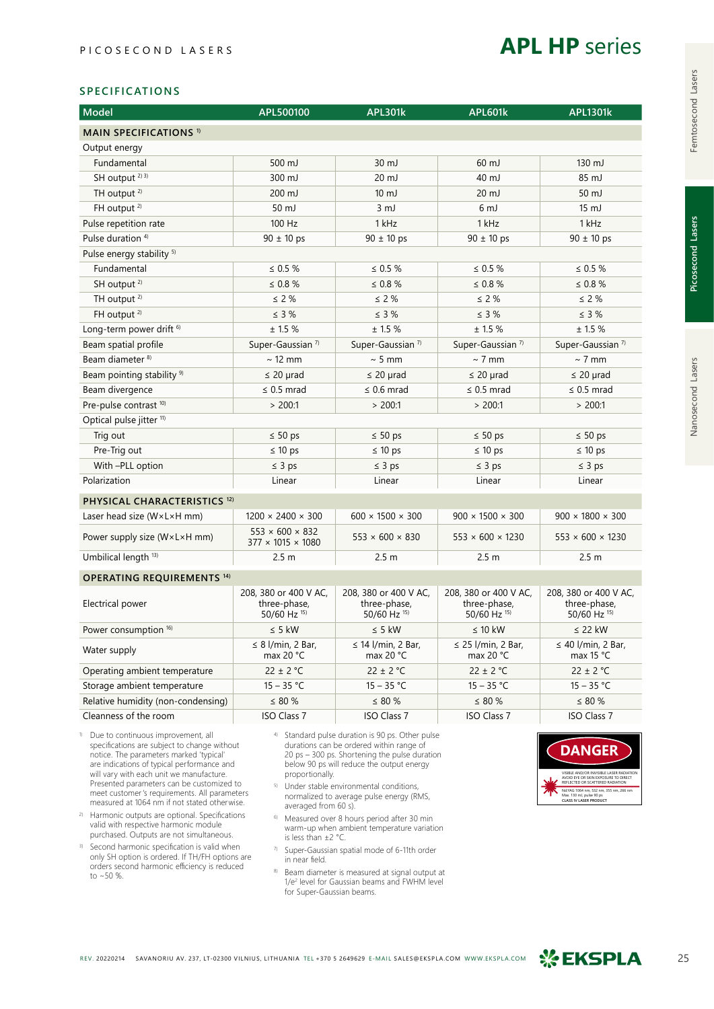

### **SPECIFICATIONS**

| <b>Model</b>                            | APL500100                                                    | <b>APL301k</b>                                        | <b>APL601k</b>                                        | <b>APL1301k</b>                                       |  |  |
|-----------------------------------------|--------------------------------------------------------------|-------------------------------------------------------|-------------------------------------------------------|-------------------------------------------------------|--|--|
| <b>MAIN SPECIFICATIONS 1)</b>           |                                                              |                                                       |                                                       |                                                       |  |  |
| Output energy                           |                                                              |                                                       |                                                       |                                                       |  |  |
| Fundamental                             | $500 \mathrm{mJ}$                                            | 30 mJ                                                 | $60 \mathrm{mJ}$                                      | $130 \mathrm{mJ}$                                     |  |  |
| SH output <sup>2) 3)</sup>              | 300 mJ                                                       | 20 mJ                                                 | $40 \mathrm{mJ}$                                      | 85 mJ                                                 |  |  |
| TH output <sup>2)</sup>                 | 200 mJ                                                       | $10 \mathrm{mJ}$                                      | $20 \mathrm{mJ}$                                      | 50 mJ                                                 |  |  |
| FH output <sup>2)</sup>                 | 50 mJ                                                        | 3 <sub>mJ</sub>                                       | 6 <sub>mJ</sub>                                       | $15 \text{ mJ}$                                       |  |  |
| Pulse repetition rate                   | 100 Hz                                                       | 1 kHz                                                 | 1 kHz                                                 | 1 kHz                                                 |  |  |
| Pulse duration <sup>4)</sup>            | $90 \pm 10$ ps                                               | $90 \pm 10$ ps                                        | $90 \pm 10$ ps                                        | $90 \pm 10$ ps                                        |  |  |
| Pulse energy stability <sup>5)</sup>    |                                                              |                                                       |                                                       |                                                       |  |  |
| Fundamental                             | $\leq 0.5 \%$                                                | $\leq 0.5 \%$                                         | $\leq 0.5 \%$                                         | $\leq 0.5 \%$                                         |  |  |
| SH output <sup>2)</sup>                 | $\leq 0.8 \%$                                                | $\leq 0.8 \%$                                         | $\leq 0.8 \%$                                         | $\leq 0.8 \%$                                         |  |  |
| TH output <sup>2)</sup>                 | $\leq$ 2 %                                                   | $\leq$ 2 %                                            | $\leq$ 2 %                                            | $\leq$ 2 %                                            |  |  |
| FH output <sup>2)</sup>                 | $\leq$ 3 %                                                   | $\leq$ 3 %                                            | $\leq$ 3 %                                            | $\leq$ 3 %                                            |  |  |
| Long-term power drift <sup>6)</sup>     | ± 1.5%                                                       | ± 1.5%                                                | ± 1.5%                                                | ± 1.5%                                                |  |  |
| Beam spatial profile                    | Super-Gaussian <sup>7</sup>                                  | Super-Gaussian <sup>7)</sup>                          | Super-Gaussian <sup>7)</sup>                          | Super-Gaussian <sup>7)</sup>                          |  |  |
| Beam diameter <sup>8)</sup>             | $\sim$ 12 mm                                                 | $\sim$ 5 mm                                           | $\sim$ 7 mm                                           | $\sim$ 7 mm                                           |  |  |
| Beam pointing stability <sup>9)</sup>   | $\leq$ 20 µrad                                               | $\leq$ 20 µrad                                        | $\leq$ 20 µrad                                        | $\leq$ 20 µrad                                        |  |  |
| Beam divergence                         | $\leq$ 0.5 mrad                                              | $\leq$ 0.6 mrad                                       | $\leq$ 0.5 mrad                                       | $\leq$ 0.5 mrad                                       |  |  |
| Pre-pulse contrast <sup>10)</sup>       | > 200:1                                                      | > 200:1                                               | > 200:1                                               | > 200:1                                               |  |  |
| Optical pulse jitter <sup>11)</sup>     |                                                              |                                                       |                                                       |                                                       |  |  |
| Trig out                                | $\leq 50$ ps                                                 | $\leq 50$ ps                                          | $\leq 50$ ps                                          | $\leq 50$ ps                                          |  |  |
| Pre-Trig out                            | $\leq 10$ ps                                                 | $\leq 10$ ps                                          | $\leq 10$ ps                                          | $\leq 10$ ps                                          |  |  |
| With -PLL option                        | $\leq 3$ ps                                                  | $\leq$ 3 ps                                           | $\leq$ 3 ps                                           | $\leq 3$ ps                                           |  |  |
| Polarization                            | Linear                                                       | Linear                                                | Linear                                                | Linear                                                |  |  |
| PHYSICAL CHARACTERISTICS <sup>12)</sup> |                                                              |                                                       |                                                       |                                                       |  |  |
| Laser head size (W×L×H mm)              | $1200 \times 2400 \times 300$                                | $600 \times 1500 \times 300$                          | $900 \times 1500 \times 300$                          | $900 \times 1800 \times 300$                          |  |  |
| Power supply size (W×L×H mm)            | $553 \times 600 \times 832$<br>$377 \times 1015 \times 1080$ | $553 \times 600 \times 830$                           | $553 \times 600 \times 1230$                          | $553 \times 600 \times 1230$                          |  |  |
| Umbilical length <sup>13)</sup>         | 2.5 <sub>m</sub>                                             | 2.5 <sub>m</sub>                                      | 2.5 <sub>m</sub>                                      | 2.5 <sub>m</sub>                                      |  |  |
| <b>OPERATING REQUIREMENTS 14)</b>       |                                                              |                                                       |                                                       |                                                       |  |  |
| Electrical power                        | 208, 380 or 400 V AC,<br>three-phase,<br>50/60 Hz 15)        | 208, 380 or 400 V AC,<br>three-phase,<br>50/60 Hz 15) | 208, 380 or 400 V AC,<br>three-phase,<br>50/60 Hz 15) | 208, 380 or 400 V AC,<br>three-phase,<br>50/60 Hz 15) |  |  |
| Power consumption 16)                   | $\leq$ 5 kW                                                  | $\leq$ 5 kW                                           | $\leq 10$ kW                                          | $\leq$ 22 kW                                          |  |  |
| Water supply                            | $\leq$ 8 l/min, 2 Bar,<br>max 20 °C                          | $\leq$ 14 l/min, 2 Bar,<br>max 20 °C                  | $\leq$ 25 l/min, 2 Bar,<br>max 20 °C                  | $\leq$ 40 l/min, 2 Bar,<br>max 15 °C                  |  |  |
| Operating ambient temperature           | $22 \pm 2$ °C                                                | $22 \pm 2$ °C                                         | $22 \pm 2$ °C                                         | $22 \pm 2$ °C                                         |  |  |
| Storage ambient temperature             | $15 - 35 °C$                                                 | $15 - 35 °C$                                          | $15 - 35 °C$                                          | $15 - 35 °C$                                          |  |  |
| Relative humidity (non-condensing)      | $\leq 80\%$                                                  | $\leq 80 \%$                                          | $\leq 80\%$                                           | $\leq 80 \%$                                          |  |  |
| Cleanness of the room                   | <b>ISO Class 7</b>                                           | <b>ISO Class 7</b>                                    | <b>ISO Class 7</b>                                    | <b>ISO Class 7</b>                                    |  |  |
|                                         | $\sim$ $\sim$                                                | $\sim$ 0.0                                            |                                                       |                                                       |  |  |

1) Due to continuous improvement, all specifications are subject to change without notice. The parameters marked 'typical' are indications of typical performance and will vary with each unit we manufacture. Presented parameters can be customized to meet customer's requirements. All parameters measured at 1064 nm if not stated otherwise.

- 2) Harmonic outputs are optional. Specifications valid with respective harmonic module purchased. Outputs are not simultaneous.
- 3) Second harmonic specification is valid when only SH option is ordered. If TH/FH options are orders second harmonic efficiency is reduced to ~50 %.
- 4) Standard pulse duration is 90 ps. Other pulse durations can be ordered within range of 20 ps – 300 ps. Shortening the pulse duration below 90 ps will reduce the output energy proportionally.
- 5) Under stable environmental conditions, normalized to average pulse energy (RMS, averaged from 60 s).
- 6) Measured over 8 hours period after 30 min warm-up when ambient temperature variation is less than ±2 °C.
- 7) Super-Gaussian spatial mode of 6-11th order in near field.
- <sup>8)</sup> Beam diameter is measured at signal output at 1/e<sup>2</sup> level for Gaussian beams and FWHM level for Super-Gaussian beams.



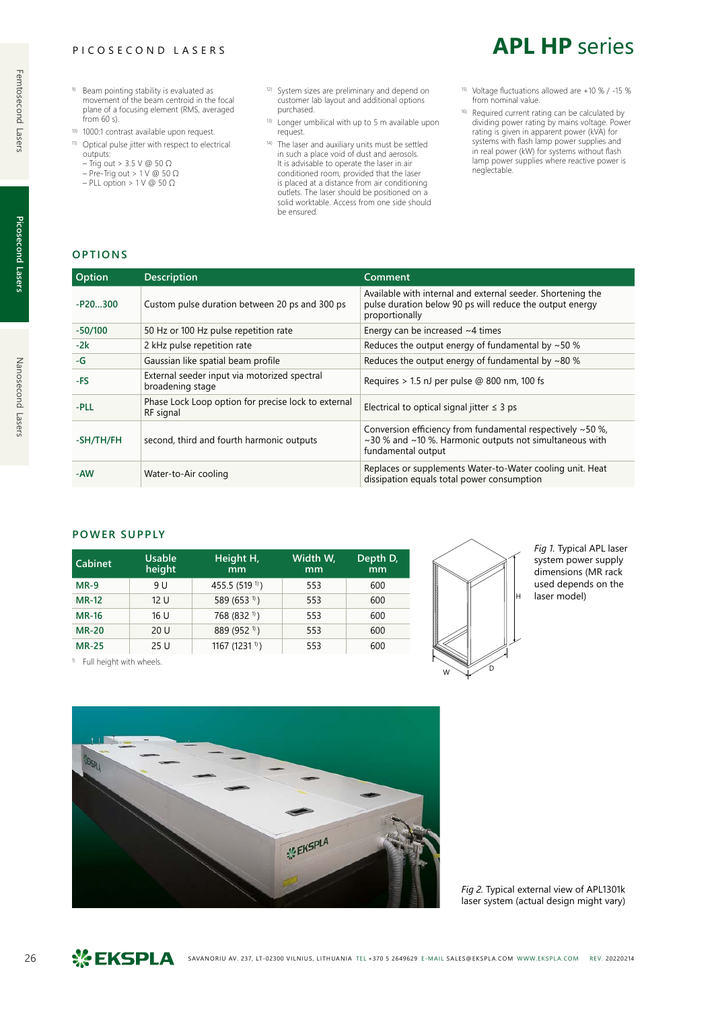#### PICOSECOND LASERS

- 9) Beam pointing stability is evaluated as movement of the beam centroid in the focal plane of a focusing element (RMS, averaged from 60 s).
- 10) 1000:1 contrast available upon request.
- 11) Optical pulse jitter with respect to electrical outputs:
- Trig out > 3.5 V @ 50 Ω
- Pre-Trig out > 1 V @ 50 Ω – PLL option > 1 V @ 50 Ω
- 12) System sizes are preliminary and depend on customer lab layout and additional options purchased.
- 13) Longer umbilical with up to 5 m available upon request.
- 14) The laser and auxiliary units must be settled in such a place void of dust and aerosols. It is advisable to operate the laser in air conditioned room, provided that the laser is placed at a distance from air conditioning outlets. The laser should be positioned on a solid worktable. Access from one side should be ensured.
- 15) Voltage fluctuations allowed are +10 % / -15 % from nominal value.

**APL HP** series

16) Required current rating can be calculated by dividing power rating by mains voltage. Power rating is given in apparent power (kVA) for systems with flash lamp power supplies and in real power (kW) for systems without flash lamp power supplies where reactive power is neglectable.

### **OPTIONS**

| Option    | <b>Description</b>                                               | Comment                                                                                                                                     |
|-----------|------------------------------------------------------------------|---------------------------------------------------------------------------------------------------------------------------------------------|
| $-P20300$ | Custom pulse duration between 20 ps and 300 ps                   | Available with internal and external seeder. Shortening the<br>pulse duration below 90 ps will reduce the output energy<br>proportionally   |
| $-50/100$ | 50 Hz or 100 Hz pulse repetition rate                            | Energy can be increased $~1$ times                                                                                                          |
| $-2k$     | 2 kHz pulse repetition rate                                      | Reduces the output energy of fundamental by $\sim$ 50 %                                                                                     |
| -G        | Gaussian like spatial beam profile                               | Reduces the output energy of fundamental by $\sim$ 80 %                                                                                     |
| -FS       | External seeder input via motorized spectral<br>broadening stage | Requires $> 1.5$ nJ per pulse @ 800 nm, 100 fs                                                                                              |
| -PLL      | Phase Lock Loop option for precise lock to external<br>RF signal | Electrical to optical signal jitter $\leq$ 3 ps                                                                                             |
| -SH/TH/FH | second, third and fourth harmonic outputs                        | Conversion efficiency from fundamental respectively ~50 %,<br>~30 % and ~10 %. Harmonic outputs not simultaneous with<br>fundamental output |
| -AW       | Water-to-Air cooling                                             | Replaces or supplements Water-to-Water cooling unit. Heat<br>dissipation equals total power consumption                                     |

#### **POWER SUPPLY**

| Cabinet      | <b>Usable</b><br>height | Height H,<br>mm            | Width W,<br>mm | Depth D,<br>mm |
|--------------|-------------------------|----------------------------|----------------|----------------|
| $MR-9$       | 9 U                     | 455.5 (519 <sup>1)</sup> ) | 553            | 600            |
| <b>MR-12</b> | 12 U                    | 589 (653 <sup>1)</sup> )   | 553            | 600            |
| <b>MR-16</b> | 16 U                    | 768 (832 <sup>1)</sup> )   | 553            | 600            |
| <b>MR-20</b> | 20U                     | 889 (952 <sup>1)</sup> )   | 553            | 600            |
| <b>MR-25</b> | 25U                     | 1167 (1231 <sup>1)</sup> ) | 553            | 600            |

1) Full height with wheels.



*Fig 1.* Typical APL laser system power supply dimensions (MR rack used depends on the laser model)



*Fig 2.* Typical external view of APL1301k laser system (actual design might vary)